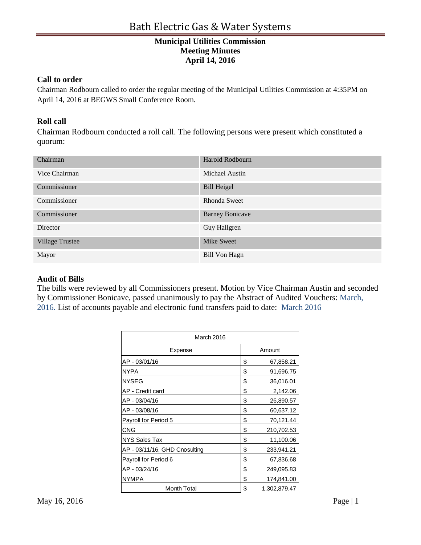#### **Call to order**

Chairman Rodbourn called to order the regular meeting of the Municipal Utilities Commission at 4:35PM on April 14, 2016 at BEGWS Small Conference Room.

### **Roll call**

Chairman Rodbourn conducted a roll call. The following persons were present which constituted a quorum:

| Chairman               | Harold Rodbourn        |
|------------------------|------------------------|
| Vice Chairman          | Michael Austin         |
| Commissioner           | <b>Bill Heigel</b>     |
| Commissioner           | Rhonda Sweet           |
| Commissioner           | <b>Barney Bonicave</b> |
| Director               | Guy Hallgren           |
| <b>Village Trustee</b> | Mike Sweet             |
| Mayor                  | <b>Bill Von Hagn</b>   |

#### **Audit of Bills**

The bills were reviewed by all Commissioners present. Motion by Vice Chairman Austin and seconded by Commissioner Bonicave, passed unanimously to pay the Abstract of Audited Vouchers: March, 2016. List of accounts payable and electronic fund transfers paid to date: March 2016

| <b>March 2016</b>             |    |              |  |
|-------------------------------|----|--------------|--|
| Expense                       |    | Amount       |  |
| AP - 03/01/16                 | \$ | 67,858.21    |  |
| <b>NYPA</b>                   | \$ | 91,696.75    |  |
| <b>NYSEG</b>                  | \$ | 36,016.01    |  |
| AP - Credit card              | \$ | 2,142.06     |  |
| AP - 03/04/16                 | \$ | 26,890.57    |  |
| AP - 03/08/16                 | \$ | 60,637.12    |  |
| Payroll for Period 5          | \$ | 70,121.44    |  |
| CNG                           | \$ | 210,702.53   |  |
| <b>NYS Sales Tax</b>          | \$ | 11,100.06    |  |
| AP - 03/11/16, GHD Cnosulting | \$ | 233,941.21   |  |
| Payroll for Period 6          | \$ | 67,836.68    |  |
| AP - 03/24/16                 | \$ | 249,095.83   |  |
| <b>NYMPA</b>                  | \$ | 174,841.00   |  |
| <b>Month Total</b>            | \$ | 1,302,879.47 |  |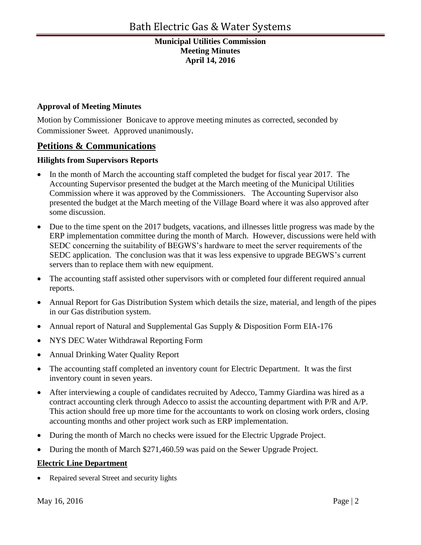### **Approval of Meeting Minutes**

Motion by Commissioner Bonicave to approve meeting minutes as corrected, seconded by Commissioner Sweet. Approved unanimously.

# **Petitions & Communications**

## **Hilights from Supervisors Reports**

- In the month of March the accounting staff completed the budget for fiscal year 2017. The Accounting Supervisor presented the budget at the March meeting of the Municipal Utilities Commission where it was approved by the Commissioners. The Accounting Supervisor also presented the budget at the March meeting of the Village Board where it was also approved after some discussion.
- Due to the time spent on the 2017 budgets, vacations, and illnesses little progress was made by the ERP implementation committee during the month of March. However, discussions were held with SEDC concerning the suitability of BEGWS's hardware to meet the server requirements of the SEDC application. The conclusion was that it was less expensive to upgrade BEGWS's current servers than to replace them with new equipment.
- The accounting staff assisted other supervisors with or completed four different required annual reports.
- Annual Report for Gas Distribution System which details the size, material, and length of the pipes in our Gas distribution system.
- Annual report of Natural and Supplemental Gas Supply & Disposition Form EIA-176
- NYS DEC Water Withdrawal Reporting Form
- Annual Drinking Water Quality Report
- The accounting staff completed an inventory count for Electric Department. It was the first inventory count in seven years.
- After interviewing a couple of candidates recruited by Adecco, Tammy Giardina was hired as a contract accounting clerk through Adecco to assist the accounting department with P/R and A/P. This action should free up more time for the accountants to work on closing work orders, closing accounting months and other project work such as ERP implementation.
- During the month of March no checks were issued for the Electric Upgrade Project.
- During the month of March \$271,460.59 was paid on the Sewer Upgrade Project.

### **Electric Line Department**

• Repaired several Street and security lights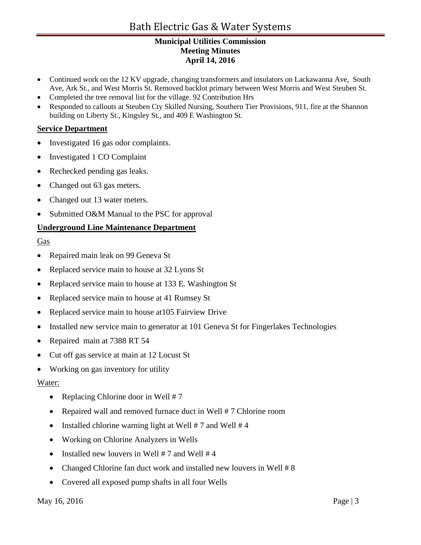- Continued work on the 12 KV upgrade, changing transformers and insulators on Lackawanna Ave, South Ave, Ark St., and West Morris St. Removed backlot primary between West Morris and West Steuben St.
- Completed the tree removal list for the village. 92 Contribution Hrs
- Responded to callouts at Steuben Cty Skilled Nursing, Southern Tier Provisions, 911, fire at the Shannon building on Liberty St., Kingsley St., and 409 E Washington St.

### **Service Department**

- Investigated 16 gas odor complaints.
- Investigated 1 CO Complaint
- Rechecked pending gas leaks.
- Changed out 63 gas meters.
- Changed out 13 water meters.
- Submitted O&M Manual to the PSC for approval

## **Underground Line Maintenance Department**

### Gas

- Repaired main leak on 99 Geneva St
- Replaced service main to house at 32 Lyons St
- Replaced service main to house at 133 E. Washington St
- Replaced service main to house at 41 Rumsey St
- Replaced service main to house at 105 Fairview Drive
- Installed new service main to generator at 101 Geneva St for Fingerlakes Technologies
- Repaired main at 7388 RT 54
- Cut off gas service at main at 12 Locust St
- Working on gas inventory for utility

### Water:

- Replacing Chlorine door in Well  $# 7$
- Repaired wall and removed furnace duct in Well # 7 Chlorine room
- Installed chlorine warning light at Well  $# 7$  and Well  $# 4$
- Working on Chlorine Analyzers in Wells
- Installed new louvers in Well  $# 7$  and Well  $# 4$
- Changed Chlorine fan duct work and installed new louvers in Well # 8
- Covered all exposed pump shafts in all four Wells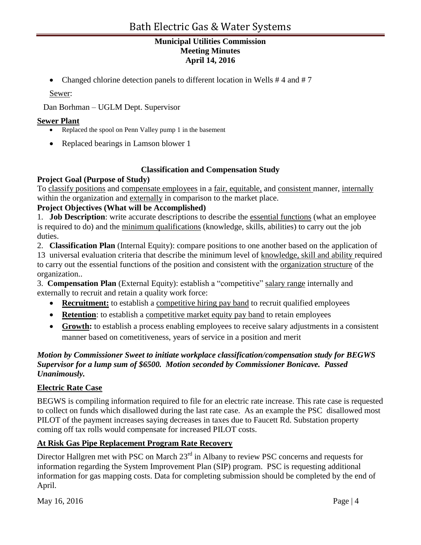• Changed chlorine detection panels to different location in Wells #4 and #7

Sewer:

Dan Borhman – UGLM Dept. Supervisor

#### **Sewer Plant**

- Replaced the spool on Penn Valley pump 1 in the basement
- Replaced bearings in Lamson blower 1

### **Classification and Compensation Study**

### **Project Goal (Purpose of Study)**

To classify positions and compensate employees in a fair, equitable, and consistent manner, internally within the organization and externally in comparison to the market place.

### **Project Objectives (What will be Accomplished)**

1. **Job Description**: write accurate descriptions to describe the essential functions (what an employee is required to do) and the minimum qualifications (knowledge, skills, abilities) to carry out the job duties.

2. **Classification Plan** (Internal Equity): compare positions to one another based on the application of

13 universal evaluation criteria that describe the minimum level of knowledge, skill and ability required to carry out the essential functions of the position and consistent with the organization structure of the organization..

3. **Compensation Plan** (External Equity): establish a "competitive" salary range internally and externally to recruit and retain a quality work force:

- **Recruitment:** to establish a competitive hiring pay band to recruit qualified employees
- **Retention**: to establish a competitive market equity pay band to retain employees
- **Growth:** to establish a process enabling employees to receive salary adjustments in a consistent manner based on cometitiveness, years of service in a position and merit

### *Motion by Commissioner Sweet to initiate workplace classification/compensation study for BEGWS Supervisor for a lump sum of \$6500. Motion seconded by Commissioner Bonicave. Passed Unanimously.*

### **Electric Rate Case**

BEGWS is compiling information required to file for an electric rate increase. This rate case is requested to collect on funds which disallowed during the last rate case. As an example the PSC disallowed most PILOT of the payment increases saying decreases in taxes due to Faucett Rd. Substation property coming off tax rolls would compensate for increased PILOT costs.

### **At Risk Gas Pipe Replacement Program Rate Recovery**

Director Hallgren met with PSC on March 23<sup>rd</sup> in Albany to review PSC concerns and requests for information regarding the System Improvement Plan (SIP) program. PSC is requesting additional information for gas mapping costs. Data for completing submission should be completed by the end of April.

May  $16, 2016$  Page | 4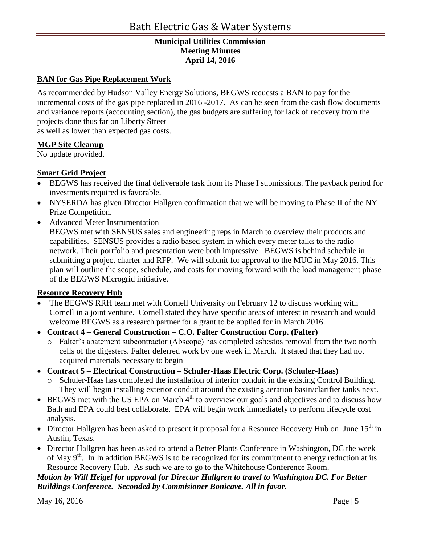## **BAN for Gas Pipe Replacement Work**

As recommended by Hudson Valley Energy Solutions, BEGWS requests a BAN to pay for the incremental costs of the gas pipe replaced in 2016 -2017. As can be seen from the cash flow documents and variance reports (accounting section), the gas budgets are suffering for lack of recovery from the projects done thus far on Liberty Street

as well as lower than expected gas costs.

### **MGP Site Cleanup**

No update provided.

### **Smart Grid Project**

- BEGWS has received the final deliverable task from its Phase I submissions. The payback period for investments required is favorable.
- NYSERDA has given Director Hallgren confirmation that we will be moving to Phase II of the NY Prize Competition.
- Advanced Meter Instrumentation BEGWS met with SENSUS sales and engineering reps in March to overview their products and capabilities. SENSUS provides a radio based system in which every meter talks to the radio network. Their portfolio and presentation were both impressive. BEGWS is behind schedule in submitting a project charter and RFP. We will submit for approval to the MUC in May 2016. This plan will outline the scope, schedule, and costs for moving forward with the load management phase of the BEGWS Microgrid initiative.

### **Resource Recovery Hub**

- The BEGWS RRH team met with Cornell University on February 12 to discuss working with Cornell in a joint venture. Cornell stated they have specific areas of interest in research and would welcome BEGWS as a research partner for a grant to be applied for in March 2016.
- **Contract 4 – General Construction – C.O. Falter Construction Corp. (Falter)** 
	- o Falter's abatement subcontractor (Abscope) has completed asbestos removal from the two north cells of the digesters. Falter deferred work by one week in March. It stated that they had not acquired materials necessary to begin
- **Contract 5 – Electrical Construction – Schuler-Haas Electric Corp. (Schuler-Haas)**
	- o Schuler-Haas has completed the installation of interior conduit in the existing Control Building. They will begin installing exterior conduit around the existing aeration basin/clarifier tanks next.
- $\bullet$  BEGWS met with the US EPA on March  $4<sup>th</sup>$  to overview our goals and objectives and to discuss how Bath and EPA could best collaborate. EPA will begin work immediately to perform lifecycle cost analysis.
- $\bullet$  Director Hallgren has been asked to present it proposal for a Resource Recovery Hub on June 15<sup>th</sup> in Austin, Texas.
- Director Hallgren has been asked to attend a Better Plants Conference in Washington, DC the week of May  $9<sup>th</sup>$ . In In addition BEGWS is to be recognized for its commitment to energy reduction at its Resource Recovery Hub. As such we are to go to the Whitehouse Conference Room.

## *Motion by Will Heigel for approval for Director Hallgren to travel to Washington DC. For Better Buildings Conference. Seconded by Commisioner Bonicave. All in favor.*

May  $16, 2016$  Page | 5